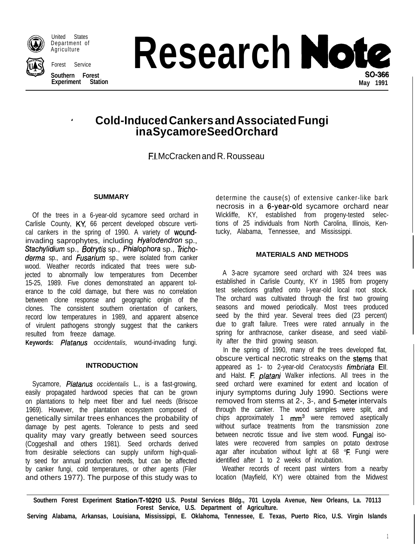

United States Department of **Agriculture** 

Forest Service

**Southern Forest Experiment Station** **Research Note** SO-366 **May 1991**

# <sup>I</sup> **Cold-Induced Cankers and Associated Fungi in a Sycamore Seed Orchard**

El. McCracken and R. Rousseau

#### **SUMMARY**

Of the trees in a 6-year-old sycamore seed orchard in Carlisle County, KY, 66 percent developed obscure vertical cankers in the spring of 1990. A variety of woundinvading saprophytes, including Hyalodendron sp., Stachylidium sp., Botrytis sp., Phialophora sp., Tricho*derma* sp., and *Fusarium* sp., were isolated from canker wood. Weather records indicated that trees were subjected to abnormally low temperatures from December 15-25, 1989. Five clones demonstrated an apparent tolerance to the cold damage, but there was no correlation between clone response and geographic origin of the clones. The consistent southern orientation of cankers, record low temperatures in 1989, and apparent absence of virulent pathogens strongly suggest that the cankers resulted from freeze damage.

**Keywords:** *P/&anus occidentalis,* wound-invading fungi.

## **INTRODUCTION**

Sycamore, *Platanus occidentalis* L., is a fast-growing, easily propagated hardwood species that can be grown on plantations to help meet fiber and fuel needs (Briscoe 1969). However, the plantation ecosystem composed of genetically similar trees enhances the probability of damage by pest agents. Tolerance to pests and seed quality may vary greatly between seed sources (Coggeshall and others 1981). Seed orchards derived from desirable selections can supply uniform high-quality seed for annual production needs, but can be affected by canker fungi, cold temperatures, or other agents (Filer and others 1977). The purpose of this study was to

determine the cause(s) of extensive canker-like bark necrosis in a 6-year-old sycamore orchard near Wickliffe, KY, established from progeny-tested selections of 25 individuals from North Carolina, Illinois, Kentucky, Alabama, Tennessee, and Mississippi.

## **MATERIALS AND METHODS**

A 3-acre sycamore seed orchard with 324 trees was established in Carlisle County, KY in 1985 from progeny test selections grafted onto l-year-old local root stock. The orchard was cultivated through the first two growing seasons and mowed periodically. Most trees produced seed by the third year. Several trees died (23 percent) due to graft failure. Trees were rated annually in the spring for anthracnose, canker disease, and seed viability after the third growing season.

In the spring of 1990, many of the trees developed flat, obscure vertical necrotic streaks on the stems that appeared as 1- to 2-year-old *Ceratocystis firnbriata* Eli. and Halst. *F. platani* Walker infections. All trees in the seed orchard were examined for extent and location of injury symptoms during July 1990. Sections were removed from stems at 2-, 3-, and 5-meter intervals through the canker. The wood samples were split, and chips approximately 1 mm<sup>3</sup> were removed aseptically without surface treatments from the transmission zone between necrotic tissue and live stem wood. Fungal isolates were recovered from samples on potato dextrose agar after incubation without light at  $68^\circ$ F. Fungi were identified after 1 to 2 weeks of incubation.

Weather records of recent past winters from a nearby location (Mayfield, KY) were obtained from the Midwest

Southern Forest Experiment Station/T-10210 U.S. Postal Services Bldg., 701 Loyola Avenue, New Orleans, La. 70113 **Forest Service, U.S. Department of Agriculture.**

**Serving Alabama, Arkansas, Louisiana, Mississippi, E. Oklahoma, Tennessee, E. Texas, Puerto Rico, U.S. Virgin Islands**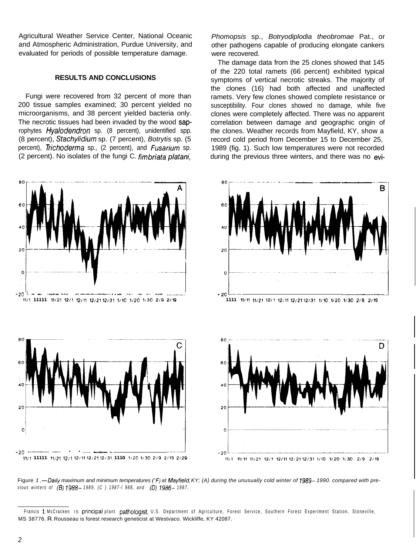Agricultural Weather Service Center, National Oceanic and Atmospheric Administration, Purdue University, and evaluated for periods of possible temperature damage.

#### **RESULTS AND CONCLUSIONS**

Fungi were recovered from 32 percent of more than 200 tissue samples examined; 30 percent yielded no microorganisms, and 38 percent yielded bacteria only. The necrotic tissues had been invaded by the wood saprophytes Hyalodendron sp. (8 percent), unidentified spp. (8 percent), *Stachylidium* sp. (7 percent), *Botrytis* sp. (5 percent), *Trichoderma* sp., (2 percent), and *Fusarium* sp. (2 percent). No isolates of the fungi C. *fimbriata platani,*

*Phomopsis* sp., *Botryodiplodia theobromae* Pat., or other pathogens capable of producing elongate cankers were recovered.

The damage data from the 25 clones showed that 145 of the 220 total ramets (66 percent) exhibited typical symptoms of vertical necrotic streaks. The majority of the clones (16) had both affected and unaffected ramets. Very few clones showed complete resistance or susceptibility. Four clones showed no damage, while five clones were completely affected. There was no apparent correlation between damage and geographic origin of the clones. Weather records from Mayfield, KY, show a record cold period from December 15 to December 25, 1989 (fig. 1). Such low temperatures were not recorded during the previous three winters, and there was no evi-



Figure 1.—Daily maximum and minimum temperatures (<sup>"F</sup>) at Mayfield, KY; (A) during the unusually cold winter of 1989–1990. compared with pre*vious winters of (ES) 1988- 1989, (C ) 1987-l 988, and (0) 1986- 1987.*

Francis I. McCracken IS principal plant pathologist, U.S. Department of Agriculture, Forest Service, Southern Forest Experiment Station, Stoneville, MS 38776. R. Rousseau is forest research geneticist at Westvaco. Wickliffe, KY 42087.